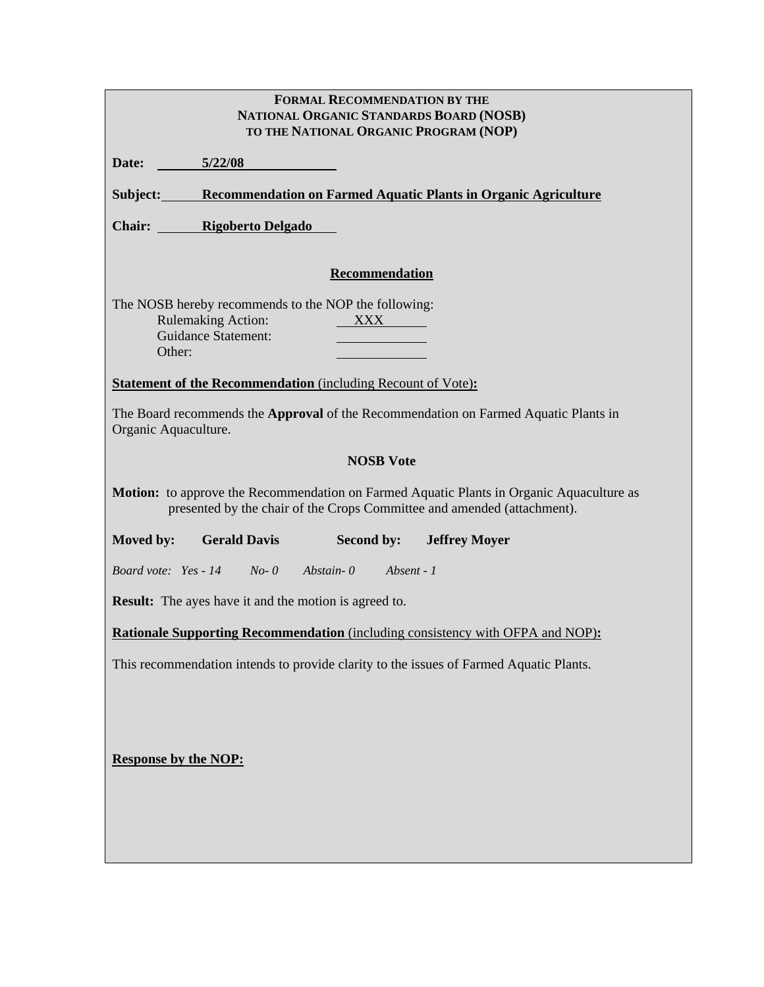| <b>FORMAL RECOMMENDATION BY THE</b><br>NATIONAL ORGANIC STANDARDS BOARD (NOSB)<br>TO THE NATIONAL ORGANIC PROGRAM (NOP)                                                    |  |  |  |  |  |
|----------------------------------------------------------------------------------------------------------------------------------------------------------------------------|--|--|--|--|--|
| Date:<br>5/22/08                                                                                                                                                           |  |  |  |  |  |
| Subject: Recommendation on Farmed Aquatic Plants in Organic Agriculture                                                                                                    |  |  |  |  |  |
| <b>Chair:</b> Rigoberto Delgado                                                                                                                                            |  |  |  |  |  |
| Recommendation                                                                                                                                                             |  |  |  |  |  |
| The NOSB hereby recommends to the NOP the following:<br><b>Rulemaking Action:</b><br>XXX XX<br><b>Guidance Statement:</b><br>Other:                                        |  |  |  |  |  |
| <b>Statement of the Recommendation</b> (including Recount of Vote):                                                                                                        |  |  |  |  |  |
| The Board recommends the <b>Approval</b> of the Recommendation on Farmed Aquatic Plants in<br>Organic Aquaculture.                                                         |  |  |  |  |  |
| <b>NOSB Vote</b>                                                                                                                                                           |  |  |  |  |  |
| <b>Motion:</b> to approve the Recommendation on Farmed Aquatic Plants in Organic Aquaculture as<br>presented by the chair of the Crops Committee and amended (attachment). |  |  |  |  |  |
| Moved by:<br><b>Gerald Davis</b><br>Second by:<br><b>Jeffrey Moyer</b>                                                                                                     |  |  |  |  |  |
| Board vote: Yes - 14 No-0 Abstain-0 Absent - 1                                                                                                                             |  |  |  |  |  |
| <b>Result:</b> The ayes have it and the motion is agreed to.                                                                                                               |  |  |  |  |  |
| <b>Rationale Supporting Recommendation</b> (including consistency with OFPA and NOP):                                                                                      |  |  |  |  |  |
| This recommendation intends to provide clarity to the issues of Farmed Aquatic Plants.                                                                                     |  |  |  |  |  |
| <b>Response by the NOP:</b>                                                                                                                                                |  |  |  |  |  |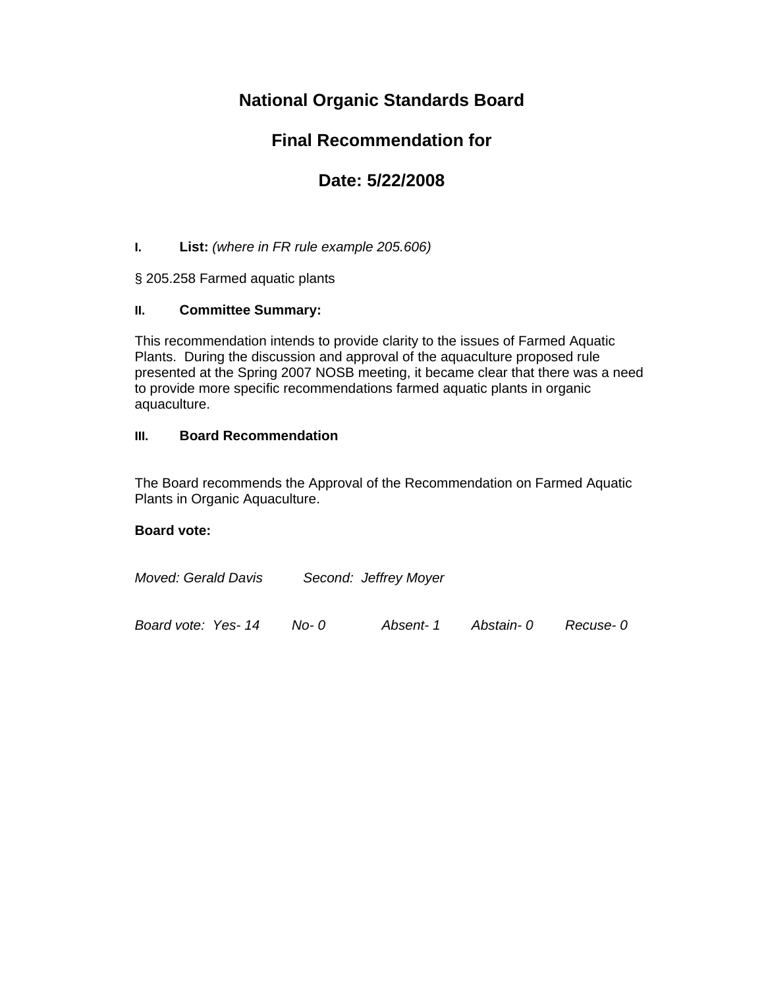## **National Organic Standards Board**

## **Final Recommendation for**

# **Date: 5/22/2008**

### **I. List:** *(where in FR rule example 205.606)*

§ 205.258 Farmed aquatic plants

### **II. Committee Summary:**

This recommendation intends to provide clarity to the issues of Farmed Aquatic Plants. During the discussion and approval of the aquaculture proposed rule presented at the Spring 2007 NOSB meeting, it became clear that there was a need to provide more specific recommendations farmed aquatic plants in organic aquaculture.

### **III. Board Recommendation**

The Board recommends the Approval of the Recommendation on Farmed Aquatic Plants in Organic Aquaculture.

### **Board vote:**

| Moved: Gerald Davis |        | Second: Jeffrey Moyer |           |           |
|---------------------|--------|-----------------------|-----------|-----------|
| Board vote: Yes-14  | $No-0$ | Absent- 1             | Abstain-0 | Recuse- 0 |